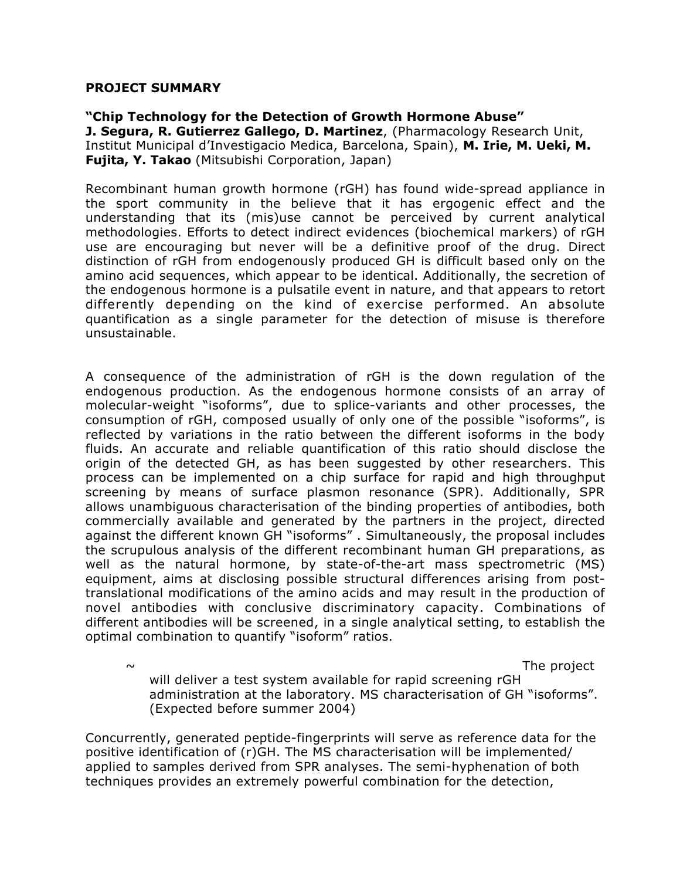## **PROJECT SUMMARY**

## **"Chip Technology for the Detection of Growth Hormone Abuse"**

**J. Segura, R. Gutierrez Gallego, D. Martinez**, (Pharmacology Research Unit, Institut Municipal d'Investigacio Medica, Barcelona, Spain), **M. Irie, M. Ueki, M. Fujita, Y. Takao** (Mitsubishi Corporation, Japan)

Recombinant human growth hormone (rGH) has found wide-spread appliance in the sport community in the believe that it has ergogenic effect and the understanding that its (mis)use cannot be perceived by current analytical methodologies. Efforts to detect indirect evidences (biochemical markers) of rGH use are encouraging but never will be a definitive proof of the drug. Direct distinction of rGH from endogenously produced GH is difficult based only on the amino acid sequences, which appear to be identical. Additionally, the secretion of the endogenous hormone is a pulsatile event in nature, and that appears to retort differently depending on the kind of exercise performed. An absolute quantification as a single parameter for the detection of misuse is therefore unsustainable.

A consequence of the administration of rGH is the down regulation of the endogenous production. As the endogenous hormone consists of an array of molecular-weight "isoforms", due to splice-variants and other processes, the consumption of rGH, composed usually of only one of the possible "isoforms", is reflected by variations in the ratio between the different isoforms in the body fluids. An accurate and reliable quantification of this ratio should disclose the origin of the detected GH, as has been suggested by other researchers. This process can be implemented on a chip surface for rapid and high throughput screening by means of surface plasmon resonance (SPR). Additionally, SPR allows unambiguous characterisation of the binding properties of antibodies, both commercially available and generated by the partners in the project, directed against the different known GH "isoforms" . Simultaneously, the proposal includes the scrupulous analysis of the different recombinant human GH preparations, as well as the natural hormone, by state-of-the-art mass spectrometric (MS) equipment, aims at disclosing possible structural differences arising from posttranslational modifications of the amino acids and may result in the production of novel antibodies with conclusive discriminatory capacity. Combinations of different antibodies will be screened, in a single analytical setting, to establish the optimal combination to quantify "isoform" ratios.

 $\sim$  The project

will deliver a test system available for rapid screening rGH administration at the laboratory. MS characterisation of GH "isoforms". (Expected before summer 2004)

Concurrently, generated peptide-fingerprints will serve as reference data for the positive identification of (r)GH. The MS characterisation will be implemented/ applied to samples derived from SPR analyses. The semi-hyphenation of both techniques provides an extremely powerful combination for the detection,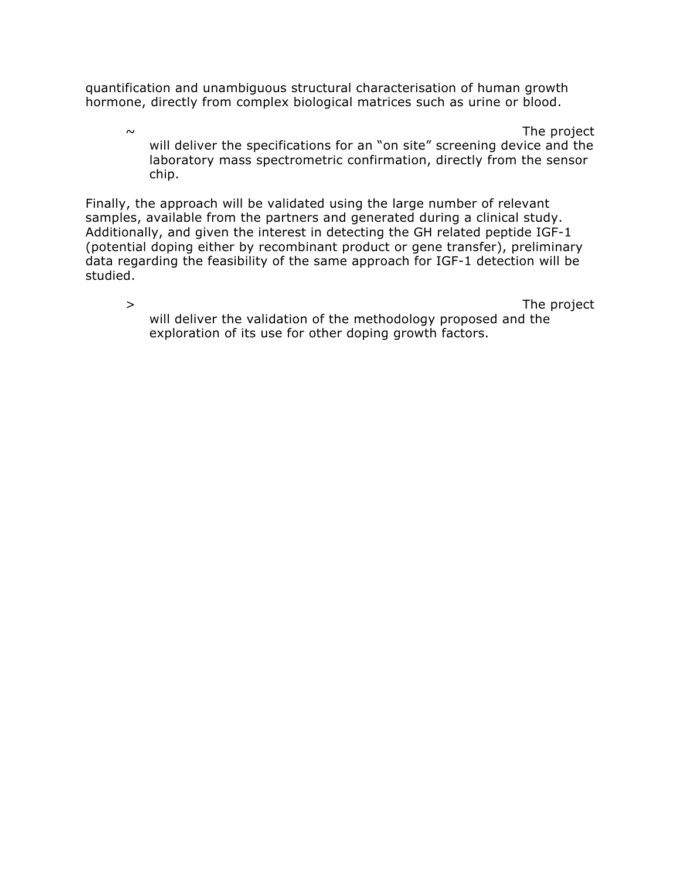quantification and unambiguous structural characterisation of human growth hormone, directly from complex biological matrices such as urine or blood.

 $\sim$  The project will deliver the specifications for an "on site" screening device and the laboratory mass spectrometric confirmation, directly from the sensor chip.

Finally, the approach will be validated using the large number of relevant samples, available from the partners and generated during a clinical study. Additionally, and given the interest in detecting the GH related peptide IGF-1 (potential doping either by recombinant product or gene transfer), preliminary data regarding the feasibility of the same approach for IGF-1 detection will be studied.

> The project will deliver the validation of the methodology proposed and the exploration of its use for other doping growth factors.